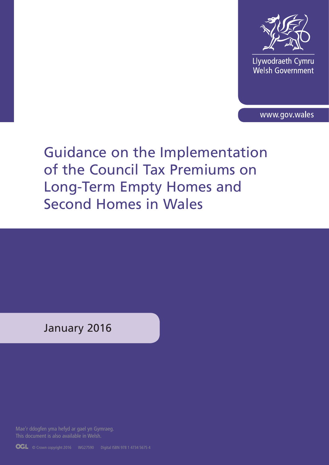

Llywodraeth Cymru<br>Welsh Government

www.gov.wales

# Guidance on the Implementation of the Council Tax Premiums on Long-Term Empty Homes and Second Homes in Wales

January 2016

Mae'r ddogfen yma hefyd ar gael yn Gymraeg.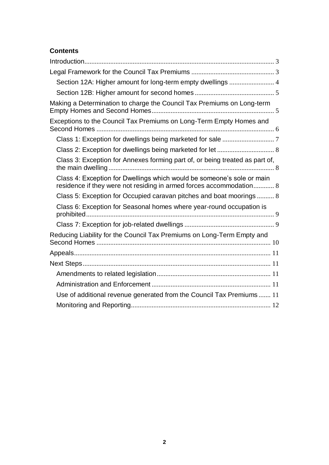# **Contents**

| Section 12A: Higher amount for long-term empty dwellings  4                                                                                   |  |
|-----------------------------------------------------------------------------------------------------------------------------------------------|--|
|                                                                                                                                               |  |
| Making a Determination to charge the Council Tax Premiums on Long-term                                                                        |  |
| Exceptions to the Council Tax Premiums on Long-Term Empty Homes and                                                                           |  |
|                                                                                                                                               |  |
|                                                                                                                                               |  |
| Class 3: Exception for Annexes forming part of, or being treated as part of,                                                                  |  |
| Class 4: Exception for Dwellings which would be someone's sole or main<br>residence if they were not residing in armed forces accommodation 8 |  |
| Class 5: Exception for Occupied caravan pitches and boat moorings 8                                                                           |  |
| Class 6: Exception for Seasonal homes where year-round occupation is                                                                          |  |
|                                                                                                                                               |  |
| Reducing Liability for the Council Tax Premiums on Long-Term Empty and                                                                        |  |
|                                                                                                                                               |  |
|                                                                                                                                               |  |
|                                                                                                                                               |  |
|                                                                                                                                               |  |
| Use of additional revenue generated from the Council Tax Premiums 11                                                                          |  |
|                                                                                                                                               |  |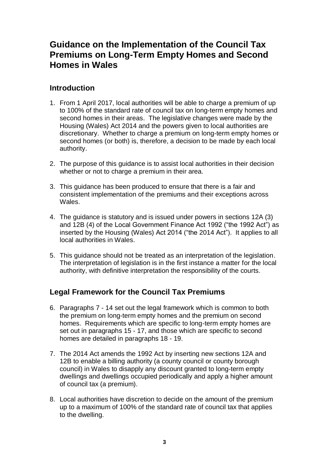# **Guidance on the Implementation of the Council Tax Premiums on Long-Term Empty Homes and Second Homes in Wales**

# <span id="page-2-0"></span>**Introduction**

- 1. From 1 April 2017, local authorities will be able to charge a premium of up to 100% of the standard rate of council tax on long-term empty homes and second homes in their areas. The legislative changes were made by the Housing (Wales) Act 2014 and the powers given to local authorities are discretionary. Whether to charge a premium on long-term empty homes or second homes (or both) is, therefore, a decision to be made by each local authority.
- 2. The purpose of this guidance is to assist local authorities in their decision whether or not to charge a premium in their area.
- 3. This guidance has been produced to ensure that there is a fair and consistent implementation of the premiums and their exceptions across Wales.
- 4. The guidance is statutory and is issued under powers in sections 12A (3) and 12B (4) of the Local Government Finance Act 1992 ("the 1992 Act") as inserted by the Housing (Wales) Act 2014 ("the 2014 Act"). It applies to all local authorities in Wales.
- 5. This guidance should not be treated as an interpretation of the legislation. The interpretation of legislation is in the first instance a matter for the local authority, with definitive interpretation the responsibility of the courts.

# <span id="page-2-1"></span>**Legal Framework for the Council Tax Premiums**

- 6. Paragraphs 7 14 set out the legal framework which is common to both the premium on long-term empty homes and the premium on second homes. Requirements which are specific to long-term empty homes are set out in paragraphs 15 - 17, and those which are specific to second homes are detailed in paragraphs 18 - 19.
- 7. The 2014 Act amends the 1992 Act by inserting new sections 12A and 12B to enable a billing authority (a county council or county borough council) in Wales to disapply any discount granted to long-term empty dwellings and dwellings occupied periodically and apply a higher amount of council tax (a premium).
- 8. Local authorities have discretion to decide on the amount of the premium up to a maximum of 100% of the standard rate of council tax that applies to the dwelling.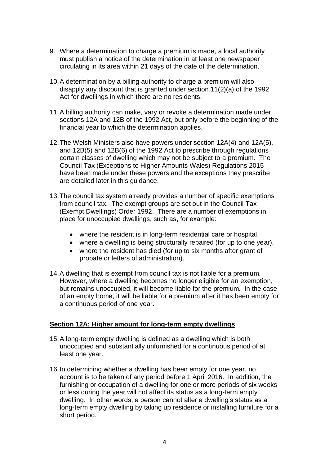- 9. Where a determination to charge a premium is made, a local authority must publish a notice of the determination in at least one newspaper circulating in its area within 21 days of the date of the determination.
- 10.A determination by a billing authority to charge a premium will also disapply any discount that is granted under section 11(2)(a) of the 1992 Act for dwellings in which there are no residents.
- 11.A billing authority can make, vary or revoke a determination made under sections 12A and 12B of the 1992 Act, but only before the beginning of the financial year to which the determination applies.
- 12.The Welsh Ministers also have powers under section 12A(4) and 12A(5), and 12B(5) and 12B(6) of the 1992 Act to prescribe through regulations certain classes of dwelling which may not be subject to a premium. The Council Tax (Exceptions to Higher Amounts Wales) Regulations 2015 have been made under these powers and the exceptions they prescribe are detailed later in this guidance.
- 13.The council tax system already provides a number of specific exemptions from council tax. The exempt groups are set out in the Council Tax (Exempt Dwellings) Order 1992. There are a number of exemptions in place for unoccupied dwellings, such as, for example:
	- where the resident is in long-term residential care or hospital,
	- where a dwelling is being structurally repaired (for up to one year),
	- where the resident has died (for up to six months after grant of probate or letters of administration).
- 14.A dwelling that is exempt from council tax is not liable for a premium. However, where a dwelling becomes no longer eligible for an exemption, but remains unoccupied, it will become liable for the premium. In the case of an empty home, it will be liable for a premium after it has been empty for a continuous period of one year.

## <span id="page-3-0"></span>**Section 12A: Higher amount for long-term empty dwellings**

- 15.A long-term empty dwelling is defined as a dwelling which is both unoccupied and substantially unfurnished for a continuous period of at least one year.
- 16.In determining whether a dwelling has been empty for one year, no account is to be taken of any period before 1 April 2016. In addition, the furnishing or occupation of a dwelling for one or more periods of six weeks or less during the year will not affect its status as a long-term empty dwelling. In other words, a person cannot alter a dwelling's status as a long-term empty dwelling by taking up residence or installing furniture for a short period.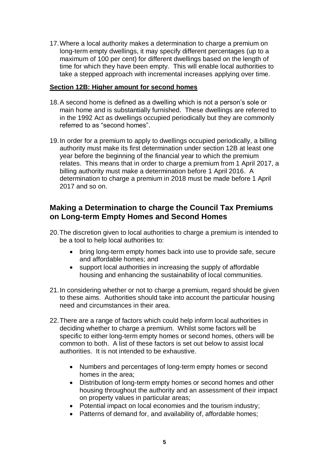17.Where a local authority makes a determination to charge a premium on long-term empty dwellings, it may specify different percentages (up to a maximum of 100 per cent) for different dwellings based on the length of time for which they have been empty. This will enable local authorities to take a stepped approach with incremental increases applying over time.

## <span id="page-4-0"></span>**Section 12B: Higher amount for second homes**

- 18.A second home is defined as a dwelling which is not a person's sole or main home and is substantially furnished. These dwellings are referred to in the 1992 Act as dwellings occupied periodically but they are commonly referred to as "second homes".
- 19.In order for a premium to apply to dwellings occupied periodically, a billing authority must make its first determination under section 12B at least one year before the beginning of the financial year to which the premium relates. This means that in order to charge a premium from 1 April 2017, a billing authority must make a determination before 1 April 2016. A determination to charge a premium in 2018 must be made before 1 April 2017 and so on.

# <span id="page-4-1"></span>**Making a Determination to charge the Council Tax Premiums on Long-term Empty Homes and Second Homes**

- 20.The discretion given to local authorities to charge a premium is intended to be a tool to help local authorities to:
	- bring long-term empty homes back into use to provide safe, secure and affordable homes; and
	- support local authorities in increasing the supply of affordable housing and enhancing the sustainability of local communities.
- 21.In considering whether or not to charge a premium, regard should be given to these aims. Authorities should take into account the particular housing need and circumstances in their area.
- 22.There are a range of factors which could help inform local authorities in deciding whether to charge a premium. Whilst some factors will be specific to either long-term empty homes or second homes, others will be common to both. A list of these factors is set out below to assist local authorities. It is not intended to be exhaustive.
	- Numbers and percentages of long-term empty homes or second homes in the area;
	- Distribution of long-term empty homes or second homes and other housing throughout the authority and an assessment of their impact on property values in particular areas;
	- Potential impact on local economies and the tourism industry;
	- Patterns of demand for, and availability of, affordable homes;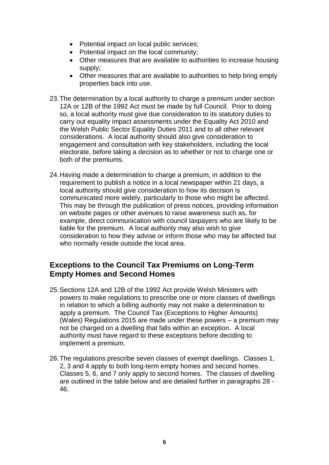- Potential impact on local public services;
- Potential impact on the local community;
- Other measures that are available to authorities to increase housing supply;
- Other measures that are available to authorities to help bring empty properties back into use.
- 23.The determination by a local authority to charge a premium under section 12A or 12B of the 1992 Act must be made by full Council. Prior to doing so, a local authority must give due consideration to its statutory duties to carry out equality impact assessments under the Equality Act 2010 and the Welsh Public Sector Equality Duties 2011 and to all other relevant considerations. A local authority should also give consideration to engagement and consultation with key stakeholders, including the local electorate, before taking a decision as to whether or not to charge one or both of the premiums.
- 24.Having made a determination to charge a premium, in addition to the requirement to publish a notice in a local newspaper within 21 days, a local authority should give consideration to how its decision is communicated more widely, particularly to those who might be affected. This may be through the publication of press notices, providing information on website pages or other avenues to raise awareness such as, for example, direct communication with council taxpayers who are likely to be liable for the premium. A local authority may also wish to give consideration to how they advise or inform those who may be affected but who normally reside outside the local area.

# <span id="page-5-0"></span>**Exceptions to the Council Tax Premiums on Long-Term Empty Homes and Second Homes**

- 25.Sections 12A and 12B of the 1992 Act provide Welsh Ministers with powers to make regulations to prescribe one or more classes of dwellings in relation to which a billing authority may not make a determination to apply a premium. The Council Tax (Exceptions to Higher Amounts) (Wales) Regulations 2015 are made under these powers – a premium may not be charged on a dwelling that falls within an exception. A local authority must have regard to these exceptions before deciding to implement a premium.
- 26.The regulations prescribe seven classes of exempt dwellings. Classes 1, 2, 3 and 4 apply to both long-term empty homes and second homes. Classes 5, 6, and 7 only apply to second homes. The classes of dwelling are outlined in the table below and are detailed further in paragraphs 28 - 46.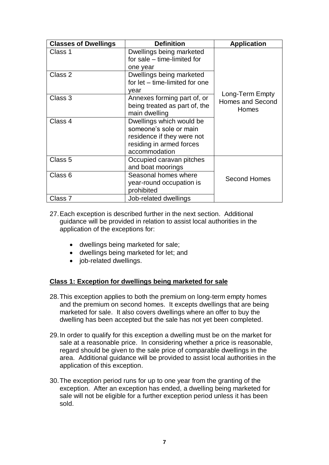| <b>Classes of Dwellings</b> | <b>Definition</b>                                                                                                             | <b>Application</b>                                  |
|-----------------------------|-------------------------------------------------------------------------------------------------------------------------------|-----------------------------------------------------|
| Class 1                     | Dwellings being marketed<br>for sale – time-limited for<br>one year                                                           |                                                     |
| Class 2                     | Dwellings being marketed<br>for let - time-limited for one<br>year                                                            | Long-Term Empty<br><b>Homes and Second</b><br>Homes |
| Class 3                     | Annexes forming part of, or<br>being treated as part of, the<br>main dwelling                                                 |                                                     |
| Class 4                     | Dwellings which would be<br>someone's sole or main<br>residence if they were not<br>residing in armed forces<br>accommodation |                                                     |
| Class 5                     | Occupied caravan pitches<br>and boat moorings                                                                                 |                                                     |
| Class <sub>6</sub>          | Seasonal homes where<br>year-round occupation is<br>prohibited                                                                | <b>Second Homes</b>                                 |
| Class 7                     | Job-related dwellings                                                                                                         |                                                     |

- 27.Each exception is described further in the next section. Additional guidance will be provided in relation to assist local authorities in the application of the exceptions for:
	- dwellings being marketed for sale;
	- dwellings being marketed for let; and
	- iob-related dwellings.

## <span id="page-6-0"></span>**Class 1: Exception for dwellings being marketed for sale**

- 28.This exception applies to both the premium on long-term empty homes and the premium on second homes. It excepts dwellings that are being marketed for sale. It also covers dwellings where an offer to buy the dwelling has been accepted but the sale has not yet been completed.
- 29.In order to qualify for this exception a dwelling must be on the market for sale at a reasonable price. In considering whether a price is reasonable, regard should be given to the sale price of comparable dwellings in the area. Additional guidance will be provided to assist local authorities in the application of this exception.
- 30.The exception period runs for up to one year from the granting of the exception. After an exception has ended, a dwelling being marketed for sale will not be eligible for a further exception period unless it has been sold.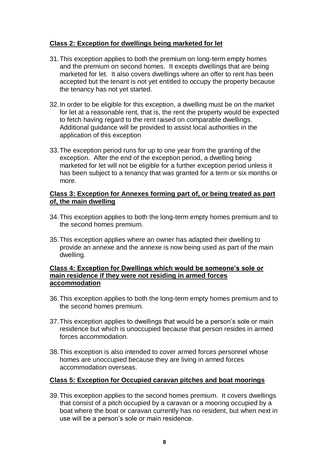## <span id="page-7-0"></span>**Class 2: Exception for dwellings being marketed for let**

- 31.This exception applies to both the premium on long-term empty homes and the premium on second homes. It excepts dwellings that are being marketed for let. It also covers dwellings where an offer to rent has been accepted but the tenant is not yet entitled to occupy the property because the tenancy has not yet started.
- 32.In order to be eligible for this exception, a dwelling must be on the market for let at a reasonable rent, that is, the rent the property would be expected to fetch having regard to the rent raised on comparable dwellings. Additional guidance will be provided to assist local authorities in the application of this exception
- 33.The exception period runs for up to one year from the granting of the exception. After the end of the exception period, a dwelling being marketed for let will not be eligible for a further exception period unless it has been subject to a tenancy that was granted for a term or six months or more.

#### <span id="page-7-1"></span>**Class 3: Exception for Annexes forming part of, or being treated as part of, the main dwelling**

- 34.This exception applies to both the long-term empty homes premium and to the second homes premium.
- 35.This exception applies where an owner has adapted their dwelling to provide an annexe and the annexe is now being used as part of the main dwelling.

#### <span id="page-7-2"></span>**Class 4: Exception for Dwellings which would be someone's sole or main residence if they were not residing in armed forces accommodation**

- 36.This exception applies to both the long-term empty homes premium and to the second homes premium.
- 37.This exception applies to dwellings that would be a person's sole or main residence but which is unoccupied because that person resides in armed forces accommodation.
- 38.This exception is also intended to cover armed forces personnel whose homes are unoccupied because they are living in armed forces accommodation overseas.

## <span id="page-7-3"></span>**Class 5: Exception for Occupied caravan pitches and boat moorings**

39.This exception applies to the second homes premium. It covers dwellings that consist of a pitch occupied by a caravan or a mooring occupied by a boat where the boat or caravan currently has no resident, but when next in use will be a person's sole or main residence.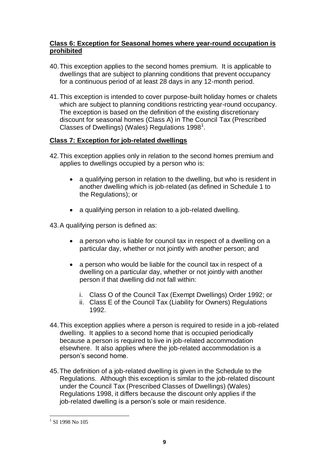## <span id="page-8-0"></span>**Class 6: Exception for Seasonal homes where year-round occupation is prohibited**

- 40.This exception applies to the second homes premium. It is applicable to dwellings that are subject to planning conditions that prevent occupancy for a continuous period of at least 28 days in any 12-month period.
- 41.This exception is intended to cover purpose-built holiday homes or chalets which are subject to planning conditions restricting year-round occupancy. The exception is based on the definition of the existing discretionary discount for seasonal homes (Class A) in The Council Tax (Prescribed Classes of Dwellings) (Wales) Regulations 1998<sup>1</sup>.

# <span id="page-8-1"></span>**Class 7: Exception for job-related dwellings**

- 42.This exception applies only in relation to the second homes premium and applies to dwellings occupied by a person who is:
	- a qualifying person in relation to the dwelling, but who is resident in another dwelling which is job-related (as defined in Schedule 1 to the Regulations); or
	- a qualifying person in relation to a job-related dwelling.

43.A qualifying person is defined as:

- a person who is liable for council tax in respect of a dwelling on a particular day, whether or not jointly with another person; and
- a person who would be liable for the council tax in respect of a dwelling on a particular day, whether or not jointly with another person if that dwelling did not fall within:
	- i. Class O of the Council Tax (Exempt Dwellings) Order 1992; or
	- ii. Class E of the Council Tax (Liability for Owners) Regulations 1992.
- 44.This exception applies where a person is required to reside in a job-related dwelling. It applies to a second home that is occupied periodically because a person is required to live in job-related accommodation elsewhere. It also applies where the job-related accommodation is a person's second home.
- 45.The definition of a job-related dwelling is given in the Schedule to the Regulations. Although this exception is similar to the job-related discount under the Council Tax (Prescribed Classes of Dwellings) (Wales) Regulations 1998, it differs because the discount only applies if the job-related dwelling is a person's sole or main residence.

<sup>&</sup>lt;u>.</u> <sup>1</sup> SI 1998 No 105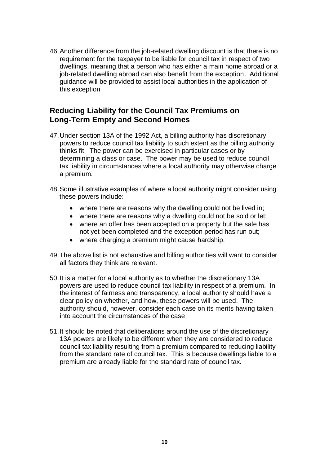46.Another difference from the job-related dwelling discount is that there is no requirement for the taxpayer to be liable for council tax in respect of two dwellings, meaning that a person who has either a main home abroad or a job-related dwelling abroad can also benefit from the exception. Additional guidance will be provided to assist local authorities in the application of this exception

# <span id="page-9-0"></span>**Reducing Liability for the Council Tax Premiums on Long-Term Empty and Second Homes**

- 47.Under section 13A of the 1992 Act, a billing authority has discretionary powers to reduce council tax liability to such extent as the billing authority thinks fit. The power can be exercised in particular cases or by determining a class or case. The power may be used to reduce council tax liability in circumstances where a local authority may otherwise charge a premium.
- 48.Some illustrative examples of where a local authority might consider using these powers include:
	- where there are reasons why the dwelling could not be lived in;
	- where there are reasons why a dwelling could not be sold or let;
	- where an offer has been accepted on a property but the sale has not yet been completed and the exception period has run out;
	- where charging a premium might cause hardship.
- 49.The above list is not exhaustive and billing authorities will want to consider all factors they think are relevant.
- 50.It is a matter for a local authority as to whether the discretionary 13A powers are used to reduce council tax liability in respect of a premium. In the interest of fairness and transparency, a local authority should have a clear policy on whether, and how, these powers will be used. The authority should, however, consider each case on its merits having taken into account the circumstances of the case.
- 51.It should be noted that deliberations around the use of the discretionary 13A powers are likely to be different when they are considered to reduce council tax liability resulting from a premium compared to reducing liability from the standard rate of council tax. This is because dwellings liable to a premium are already liable for the standard rate of council tax.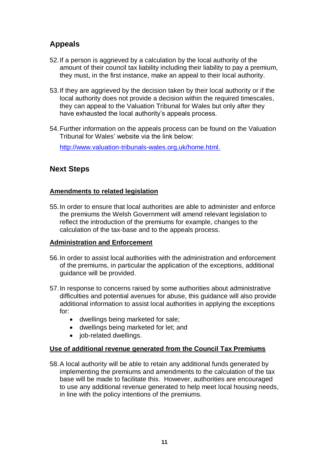# <span id="page-10-0"></span>**Appeals**

- 52.If a person is aggrieved by a calculation by the local authority of the amount of their council tax liability including their liability to pay a premium, they must, in the first instance, make an appeal to their local authority.
- 53.If they are aggrieved by the decision taken by their local authority or if the local authority does not provide a decision within the required timescales, they can appeal to the Valuation Tribunal for Wales but only after they have exhausted the local authority's appeals process.
- 54.Further information on the appeals process can be found on the Valuation Tribunal for Wales' website via the link below:

[http://www.valuation-tribunals-wales.org.uk/home.html.](http://www.valuation-tribunals-wales.org.uk/home.html)

# <span id="page-10-1"></span>**Next Steps**

## <span id="page-10-2"></span>**Amendments to related legislation**

55.In order to ensure that local authorities are able to administer and enforce the premiums the Welsh Government will amend relevant legislation to reflect the introduction of the premiums for example, changes to the calculation of the tax-base and to the appeals process.

## <span id="page-10-3"></span>**Administration and Enforcement**

- 56.In order to assist local authorities with the administration and enforcement of the premiums, in particular the application of the exceptions, additional guidance will be provided.
- 57.In response to concerns raised by some authorities about administrative difficulties and potential avenues for abuse, this guidance will also provide additional information to assist local authorities in applying the exceptions for:
	- dwellings being marketed for sale;
	- dwellings being marketed for let; and
	- job-related dwellings.

## <span id="page-10-4"></span>**Use of additional revenue generated from the Council Tax Premiums**

58.A local authority will be able to retain any additional funds generated by implementing the premiums and amendments to the calculation of the tax base will be made to facilitate this. However, authorities are encouraged to use any additional revenue generated to help meet local housing needs, in line with the policy intentions of the premiums.